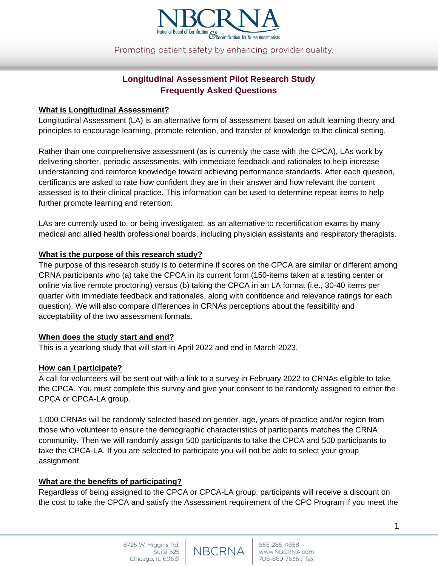

Promoting patient safety by enhancing provider quality.

# **Longitudinal Assessment Pilot Research Study Frequently Asked Questions**

#### **What is Longitudinal Assessment?**

Longitudinal Assessment (LA) is an alternative form of assessment based on adult learning theory and principles to encourage learning, promote retention, and transfer of knowledge to the clinical setting.

Rather than one comprehensive assessment (as is currently the case with the CPCA), LAs work by delivering shorter, periodic assessments, with immediate feedback and rationales to help increase understanding and reinforce knowledge toward achieving performance standards. After each question, certificants are asked to rate how confident they are in their answer and how relevant the content assessed is to their clinical practice. This information can be used to determine repeat items to help further promote learning and retention.

LAs are currently used to, or being investigated, as an alternative to recertification exams by many medical and allied health professional boards, including physician assistants and respiratory therapists.

#### **What is the purpose of this research study?**

The purpose of this research study is to determine if scores on the CPCA are similar or different among CRNA participants who (a) take the CPCA in its current form (150-items taken at a testing center or online via live remote proctoring) versus (b) taking the CPCA in an LA format (i.e., 30-40 items per quarter with immediate feedback and rationales, along with confidence and relevance ratings for each question). We will also compare differences in CRNAs perceptions about the feasibility and acceptability of the two assessment formats.

#### **When does the study start and end?**

This is a yearlong study that will start in April 2022 and end in March 2023.

#### **How can I participate?**

A call for volunteers will be sent out with a link to a survey in February 2022 to CRNAs eligible to take the CPCA. You must complete this survey and give your consent to be randomly assigned to either the CPCA or CPCA-LA group.

1,000 CRNAs will be randomly selected based on gender, age, years of practice and/or region from those who volunteer to ensure the demographic characteristics of participants matches the CRNA community. Then we will randomly assign 500 participants to take the CPCA and 500 participants to take the CPCA-LA. If you are selected to participate you will not be able to select your group assignment.

#### **What are the benefits of participating?**

Regardless of being assigned to the CPCA or CPCA-LA group, participants will receive a discount on the cost to take the CPCA and satisfy the Assessment requirement of the CPC Program if you meet the

NBCRNA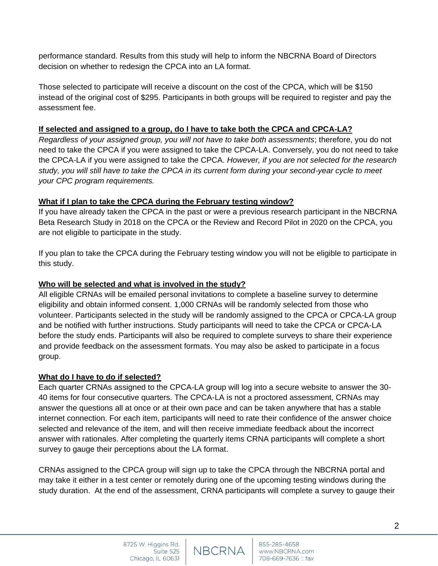performance standard. Results from this study will help to inform the NBCRNA Board of Directors decision on whether to redesign the CPCA into an LA format.

Those selected to participate will receive a discount on the cost of the CPCA, which will be \$150 instead of the original cost of \$295. Participants in both groups will be required to register and pay the assessment fee.

## **If selected and assigned to a group, do I have to take both the CPCA and CPCA-LA?**

*Regardless of your assigned group, you will not have to take both assessments*; therefore, you do not need to take the CPCA if you were assigned to take the CPCA-LA. Conversely, you do not need to take the CPCA-LA if you were assigned to take the CPCA. *However, if you are not selected for the research study, you will still have to take the CPCA in its current form during your second-year cycle to meet your CPC program requirements.*

## **What if I plan to take the CPCA during the February testing window?**

If you have already taken the CPCA in the past or were a previous research participant in the NBCRNA Beta Research Study in 2018 on the CPCA or the Review and Record Pilot in 2020 on the CPCA, you are not eligible to participate in the study.

If you plan to take the CPCA during the February testing window you will not be eligible to participate in this study.

### **Who will be selected and what is involved in the study?**

All eligible CRNAs will be emailed personal invitations to complete a baseline survey to determine eligibility and obtain informed consent. 1,000 CRNAs will be randomly selected from those who volunteer. Participants selected in the study will be randomly assigned to the CPCA or CPCA-LA group and be notified with further instructions. Study participants will need to take the CPCA or CPCA-LA before the study ends. Participants will also be required to complete surveys to share their experience and provide feedback on the assessment formats. You may also be asked to participate in a focus group.

### **What do I have to do if selected?**

Each quarter CRNAs assigned to the CPCA-LA group will log into a secure website to answer the 30- 40 items for four consecutive quarters. The CPCA-LA is not a proctored assessment, CRNAs may answer the questions all at once or at their own pace and can be taken anywhere that has a stable internet connection. For each item, participants will need to rate their confidence of the answer choice selected and relevance of the item, and will then receive immediate feedback about the incorrect answer with rationales. After completing the quarterly items CRNA participants will complete a short survey to gauge their perceptions about the LA format.

CRNAs assigned to the CPCA group will sign up to take the CPCA through the NBCRNA portal and may take it either in a test center or remotely during one of the upcoming testing windows during the study duration. At the end of the assessment, CRNA participants will complete a survey to gauge their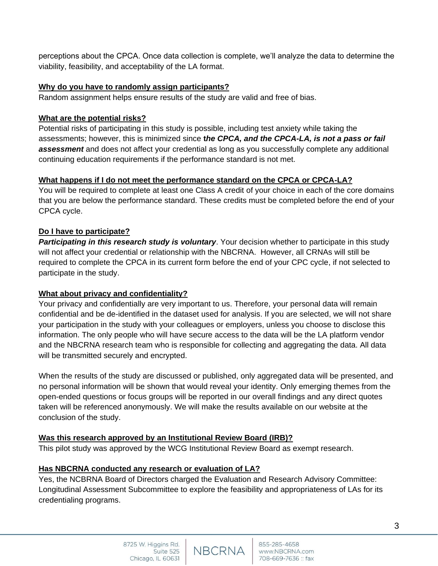perceptions about the CPCA. Once data collection is complete, we'll analyze the data to determine the viability, feasibility, and acceptability of the LA format.

### **Why do you have to randomly assign participants?**

Random assignment helps ensure results of the study are valid and free of bias.

## **What are the potential risks?**

Potential risks of participating in this study is possible, including test anxiety while taking the assessments; however, this is minimized since **t***he CPCA, and the CPCA-LA, is not a pass or fail assessment* and does not affect your credential as long as you successfully complete any additional continuing education requirements if the performance standard is not met.

## **What happens if I do not meet the performance standard on the CPCA or CPCA-LA?**

You will be required to complete at least one Class A credit of your choice in each of the core domains that you are below the performance standard. These credits must be completed before the end of your CPCA cycle.

## **Do I have to participate?**

*Participating in this research study is voluntary*. Your decision whether to participate in this study will not affect your credential or relationship with the NBCRNA. However, all CRNAs will still be required to complete the CPCA in its current form before the end of your CPC cycle, if not selected to participate in the study.

### **What about privacy and confidentiality?**

Your privacy and confidentially are very important to us. Therefore, your personal data will remain confidential and be de-identified in the dataset used for analysis. If you are selected, we will not share your participation in the study with your colleagues or employers, unless you choose to disclose this information. The only people who will have secure access to the data will be the LA platform vendor and the NBCRNA research team who is responsible for collecting and aggregating the data. All data will be transmitted securely and encrypted.

When the results of the study are discussed or published, only aggregated data will be presented, and no personal information will be shown that would reveal your identity. Only emerging themes from the open-ended questions or focus groups will be reported in our overall findings and any direct quotes taken will be referenced anonymously. We will make the results available on our website at the conclusion of the study.

## **Was this research approved by an Institutional Review Board (IRB)?**

This pilot study was approved by the WCG Institutional Review Board as exempt research.

## **Has NBCRNA conducted any research or evaluation of LA?**

Yes, the NCBRNA Board of Directors charged the Evaluation and Research Advisory Committee: Longitudinal Assessment Subcommittee to explore the feasibility and appropriateness of LAs for its credentialing programs.